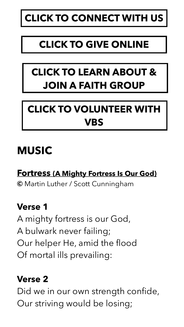## **[CLICK TO CONNECT WITH US](https://myfaithcommunity.churchcenter.com/people/forms/122560)**

## **[CLICK TO GIVE ONLINE](https://myfaithcommunity.churchcenter.com/giving)**

## **[CLICK TO LEARN ABOUT &](https://myfaithcommunity.churchcenter.com/groups/faith-groups)  [JOIN A FAITH GROUP](https://myfaithcommunity.churchcenter.com/groups/faith-groups)**

## **[CLICK TO VOLUNTEER WITH](https://myfaithcommunity.churchcenter.com/registrations/events/816966)  [VBS](https://myfaithcommunity.churchcenter.com/registrations/events/816966)**

## **MUSIC**

#### **Fortress (A Mighty Fortress Is Our God)**

**©** Martin Luther / Scott Cunningham

Did we in our own strength confide, Our striving would be losing;

**Verse 1**

A mighty fortress is our God, A bulwark never failing; Our helper He, amid the flood Of mortal ills prevailing:

#### **Verse 2**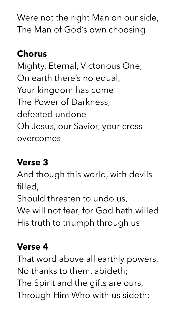Were not the right Man on our side, The Man of God's own choosing

## **Chorus**

Mighty, Eternal, Victorious One, On earth there's no equal, Your kingdom has come The Power of Darkness, defeated undone Oh Jesus, our Savior, your cross overcomes

#### **Verse 3**

And though this world, with devils filled,

Should threaten to undo us,

We will not fear, for God hath willed His truth to triumph through us

#### **Verse 4**

That word above all earthly powers, No thanks to them, abideth; The Spirit and the gifts are ours, Through Him Who with us sideth: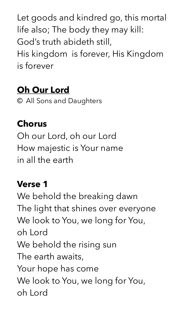Let goods and kindred go, this mortal life also; The body they may kill: God's truth abideth still, His kingdom is forever, His Kingdom is forever

## **Oh Our Lord**

© All Sons and Daughters

## **Chorus**

Oh our Lord, oh our Lord How majestic is Your name in all the earth

We behold the breaking dawn The light that shines over everyone We look to You, we long for You, oh Lord We behold the rising sun The earth awaits, Your hope has come We look to You, we long for You, oh Lord

## **Verse 1**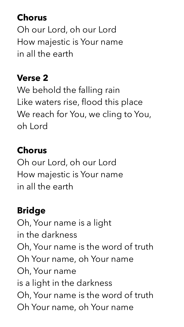## **Chorus**

Oh our Lord, oh our Lord How majestic is Your name in all the earth

## **Verse 2**

We behold the falling rain Like waters rise, flood this place We reach for You, we cling to You, oh Lord

## **Chorus**

Oh our Lord, oh our Lord How majestic is Your name in all the earth

#### **Bridge**

- Oh, Your name is a light
- in the darkness
- Oh, Your name is the word of truth
- Oh Your name, oh Your name
- Oh, Your name
- is a light in the darkness
- Oh, Your name is the word of truth
- Oh Your name, oh Your name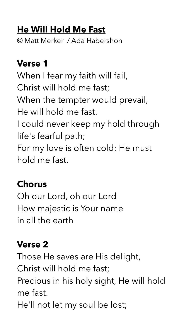## **He Will Hold Me Fast**

© Matt Merker / Ada Habershon

## **Verse 1**

When I fear my faith will fail, Christ will hold me fast; When the tempter would prevail, He will hold me fast. I could never keep my hold through life's fearful path; For my love is often cold; He must hold me fast.

## **Chorus**

Oh our Lord, oh our Lord How majestic is Your name

## in all the earth

#### **Verse 2**

Those He saves are His delight, Christ will hold me fast; Precious in his holy sight, He will hold me fast. He'll not let my soul be lost;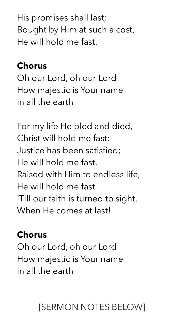His promises shall last; Bought by Him at such a cost, He will hold me fast.

## **Chorus**

Oh our Lord, oh our Lord How majestic is Your name in all the earth

For my life He bled and died, Christ will hold me fast; Justice has been satisfied; He will hold me fast. Raised with Him to endless life, He will hold me fast 'Till our faith is turned to sight, When He comes at last!

#### **Chorus**

Oh our Lord, oh our Lord How majestic is Your name in all the earth

#### [SERMON NOTES BELOW]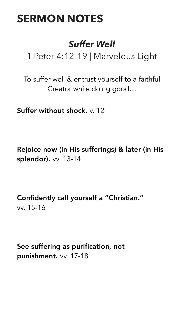## **SERMON NOTES**

## *Suffer Well*

#### 1 Peter 4:12-19 | Marvelous Light

Rejoice now (in His sufferings) & later (in His splendor). vv. 13-14

To suffer well & entrust yourself to a faithful Creator while doing good…

#### See suffering as purification, not punishment. vv. 17-18

Suffer without shock. v. 12

#### Confidently call yourself a "Christian." vv. 15-16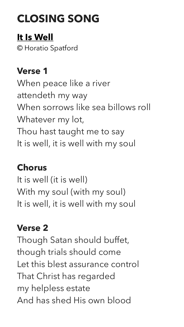# **CLOSING SONG**

## **It Is Well**

© Horatio Spatford

## **Verse 1**

When peace like a river attendeth my way When sorrows like sea billows roll Whatever my lot, Thou hast taught me to say It is well, it is well with my soul

## **Chorus**

It is well (it is well) With my soul (with my soul) It is well, it is well with my soul

#### **Verse 2**

Though Satan should buffet, though trials should come Let this blest assurance control That Christ has regarded my helpless estate And has shed His own blood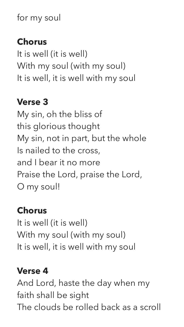for my soul

### **Chorus**

It is well (it is well) With my soul (with my soul) It is well, it is well with my soul

#### **Verse 3**

My sin, oh the bliss of this glorious thought My sin, not in part, but the whole Is nailed to the cross, and I bear it no more Praise the Lord, praise the Lord, O my soul!

#### **Chorus**



## It is well (it is well) With my soul (with my soul) It is well, it is well with my soul

#### **Verse 4**

And Lord, haste the day when my faith shall be sight The clouds be rolled back as a scroll